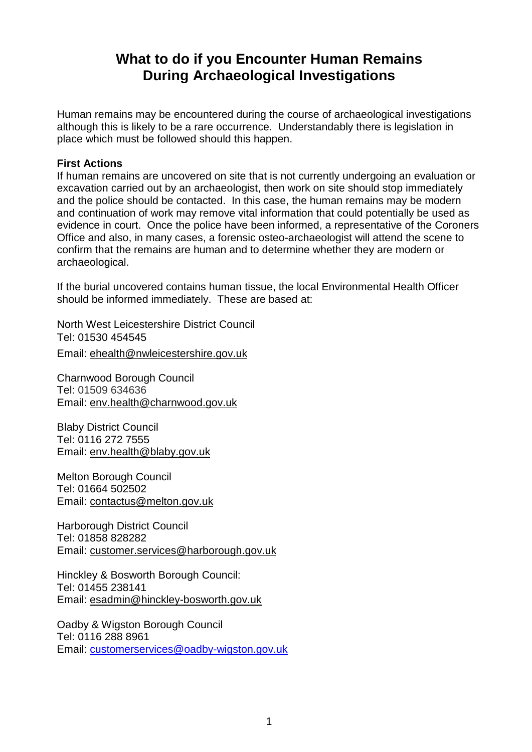# **What to do if you Encounter Human Remains During Archaeological Investigations**

Human remains may be encountered during the course of archaeological investigations although this is likely to be a rare occurrence. Understandably there is legislation in place which must be followed should this happen.

## **First Actions**

If human remains are uncovered on site that is not currently undergoing an evaluation or excavation carried out by an archaeologist, then work on site should stop immediately and the police should be contacted. In this case, the human remains may be modern and continuation of work may remove vital information that could potentially be used as evidence in court. Once the police have been informed, a representative of the Coroners Office and also, in many cases, a forensic osteo-archaeologist will attend the scene to confirm that the remains are human and to determine whether they are modern or archaeological.

If the burial uncovered contains human tissue, the local Environmental Health Officer should be informed immediately. These are based at:

North West Leicestershire District Council Tel: 01530 454545

Email: [ehealth@nwleicestershire.gov.uk](mailto:ehealth@nwleicestershire.gov.uk)

Charnwood Borough Council Tel: 01509 634636 Email: [env.health@charnwood.gov.uk](mailto:env.health@charnwood.gov.uk)

Blaby District Council Tel: 0116 272 7555 Email: [env.health@blaby.gov.uk](mailto:env.health@blaby.gov.uk)

Melton Borough Council Tel: 01664 502502 Email: [contactus@melton.gov.uk](mailto:contactus@melton.gov.uk)

Harborough District Council Tel: 01858 828282 Email: [customer.services@harborough.gov.uk](mailto:customer.services@harborough.gov.uk)

Hinckley & Bosworth Borough Council: Tel: 01455 238141 Email: [esadmin@hinckley-bosworth.gov.uk](mailto:esadmin@hinckley-bosworth.gov.uk)

Oadby & Wigston Borough Council Tel: 0116 288 8961 Email: [customerservices@oadby-wigston.gov.uk](mailto:customerservices@oadby-wigston.gov.uk)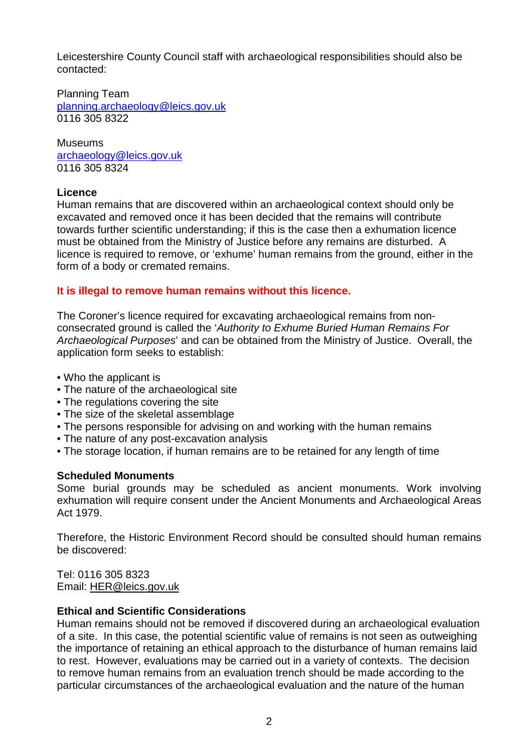Leicestershire County Council staff with archaeological responsibilities should also be contacted:

Planning Team [planning.archaeology@leics.gov.uk](mailto:planning.archaeology@leics.gov.uk) 0116 305 8322

**Museums** [archaeology@leics.gov.uk](mailto:archaeology@leics.gov.uk) 0116 305 8324

## **Licence**

Human remains that are discovered within an archaeological context should only be excavated and removed once it has been decided that the remains will contribute towards further scientific understanding; if this is the case then a exhumation licence must be obtained from the Ministry of Justice before any remains are disturbed. A licence is required to remove, or 'exhume' human remains from the ground, either in the form of a body or cremated remains.

## **It is illegal to remove human remains without this licence.**

The Coroner's licence required for excavating archaeological remains from nonconsecrated ground is called the '*Authority to Exhume Buried Human Remains For Archaeological Purposes*' and can be obtained from the Ministry of Justice. Overall, the application form seeks to establish:

- Who the applicant is
- The nature of the archaeological site
- The regulations covering the site
- The size of the skeletal assemblage
- The persons responsible for advising on and working with the human remains
- The nature of any post-excavation analysis
- The storage location, if human remains are to be retained for any length of time

## **Scheduled Monuments**

Some burial grounds may be scheduled as ancient monuments. Work involving exhumation will require consent under the Ancient Monuments and Archaeological Areas Act 1979.

Therefore, the Historic Environment Record should be consulted should human remains be discovered:

Tel: 0116 305 8323 Email: [HER@leics.gov.uk](mailto:helen.wells@leics.gov.uk)

## **Ethical and Scientific Considerations**

Human remains should not be removed if discovered during an archaeological evaluation of a site. In this case, the potential scientific value of remains is not seen as outweighing the importance of retaining an ethical approach to the disturbance of human remains laid to rest. However, evaluations may be carried out in a variety of contexts. The decision to remove human remains from an evaluation trench should be made according to the particular circumstances of the archaeological evaluation and the nature of the human